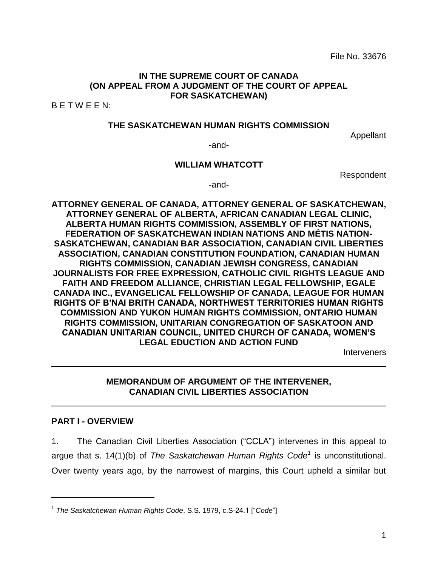File No. 33676

#### **IN THE SUPREME COURT OF CANADA (ON APPEAL FROM A JUDGMENT OF THE COURT OF APPEAL FOR SASKATCHEWAN)**

B E T W E E N:

#### **THE SASKATCHEWAN HUMAN RIGHTS COMMISSION**

Appellant

-and-

#### **WILLIAM WHATCOTT**

Respondent

-and-

**ATTORNEY GENERAL OF CANADA, ATTORNEY GENERAL OF SASKATCHEWAN, ATTORNEY GENERAL OF ALBERTA, AFRICAN CANADIAN LEGAL CLINIC, ALBERTA HUMAN RIGHTS COMMISSION, ASSEMBLY OF FIRST NATIONS, FEDERATION OF SASKATCHEWAN INDIAN NATIONS AND MÉTIS NATION-SASKATCHEWAN, CANADIAN BAR ASSOCIATION, CANADIAN CIVIL LIBERTIES ASSOCIATION, CANADIAN CONSTITUTION FOUNDATION, CANADIAN HUMAN RIGHTS COMMISSION, CANADIAN JEWISH CONGRESS, CANADIAN JOURNALISTS FOR FREE EXPRESSION, CATHOLIC CIVIL RIGHTS LEAGUE AND FAITH AND FREEDOM ALLIANCE, CHRISTIAN LEGAL FELLOWSHIP, EGALE CANADA INC., EVANGELICAL FELLOWSHIP OF CANADA, LEAGUE FOR HUMAN RIGHTS OF B'NAI BRITH CANADA, NORTHWEST TERRITORIES HUMAN RIGHTS COMMISSION AND YUKON HUMAN RIGHTS COMMISSION, ONTARIO HUMAN RIGHTS COMMISSION, UNITARIAN CONGREGATION OF SASKATOON AND CANADIAN UNITARIAN COUNCIL, UNITED CHURCH OF CANADA, WOMEN'S LEGAL EDUCTION AND ACTION FUND**

**Interveners** 

#### **MEMORANDUM OF ARGUMENT OF THE INTERVENER, CANADIAN CIVIL LIBERTIES ASSOCIATION**

#### **PART I - OVERVIEW**

 $\overline{a}$ 

1. The Canadian Civil Liberties Association ("CCLA") intervenes in this appeal to argue that s. 14(1)(b) of *The Saskatchewan Human Rights Code<sup>1</sup>* is unconstitutional. Over twenty years ago, by the narrowest of margins, this Court upheld a similar but

<sup>1</sup> *The Saskatchewan Human Rights Code*, S.S. 1979, c.S-24.1 ["*Code*"]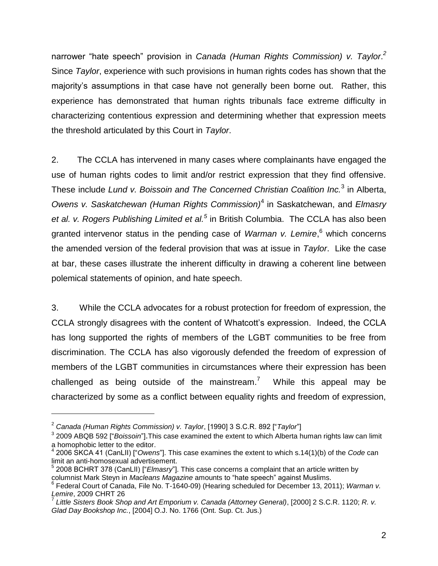narrower "hate speech" provision in *Canada (Human Rights Commission) v. Taylor*. *2* Since *Taylor*, experience with such provisions in human rights codes has shown that the majority's assumptions in that case have not generally been borne out. Rather, this experience has demonstrated that human rights tribunals face extreme difficulty in characterizing contentious expression and determining whether that expression meets the threshold articulated by this Court in *Taylor*.

2. The CCLA has intervened in many cases where complainants have engaged the use of human rights codes to limit and/or restrict expression that they find offensive. These include *Lund v. Boissoin and The Concerned Christian Coalition Inc.*<sup>3</sup> in Alberta, *Owens v. Saskatchewan (Human Rights Commission)*<sup>4</sup> in Saskatchewan, and *Elmasry et al. v. Rogers Publishing Limited et al.<sup>5</sup>* in British Columbia. The CCLA has also been granted intervenor status in the pending case of *Warman v. Lemire*, <sup>6</sup> which concerns the amended version of the federal provision that was at issue in *Taylor*. Like the case at bar, these cases illustrate the inherent difficulty in drawing a coherent line between polemical statements of opinion, and hate speech.

3. While the CCLA advocates for a robust protection for freedom of expression, the CCLA strongly disagrees with the content of Whatcott's expression. Indeed, the CCLA has long supported the rights of members of the LGBT communities to be free from discrimination. The CCLA has also vigorously defended the freedom of expression of members of the LGBT communities in circumstances where their expression has been challenged as being outside of the mainstream.<sup>7</sup> While this appeal may be characterized by some as a conflict between equality rights and freedom of expression,

<sup>2</sup> *Canada (Human Rights Commission) v. Taylor*, [1990] 3 S.C.R. 892 ["*Taylor*"]

<sup>3</sup> 2009 ABQB 592 ["*Boissoin*"].This case examined the extent to which Alberta human rights law can limit a homophobic letter to the editor.<br>4.3006.8KGA 44.(CapLII) ["Queen

<sup>2006</sup> SKCA 41 (CanLII) ["*Owens*"]. This case examines the extent to which s.14(1)(b) of the *Code* can limit an anti-homosexual advertisement.

<sup>&</sup>lt;sup>5</sup> 2008 BCHRT 378 (CanLII) ["*Elmasry*"]. This case concerns a complaint that an article written by columnist Mark Steyn in *Macleans Magazine* amounts to "hate speech" against Muslims.

<sup>6</sup> Federal Court of Canada, File No. T-1640-09) (Hearing scheduled for December 13, 2011); *Warman v.* 

*Lemire*, 2009 CHRT 26 7 *Little Sisters Book Shop and Art Emporium v. Canada (Attorney General)*, [2000] 2 S.C.R. 1120; *R. v. Glad Day Bookshop Inc.*, [2004] O.J. No. 1766 (Ont. Sup. Ct. Jus.)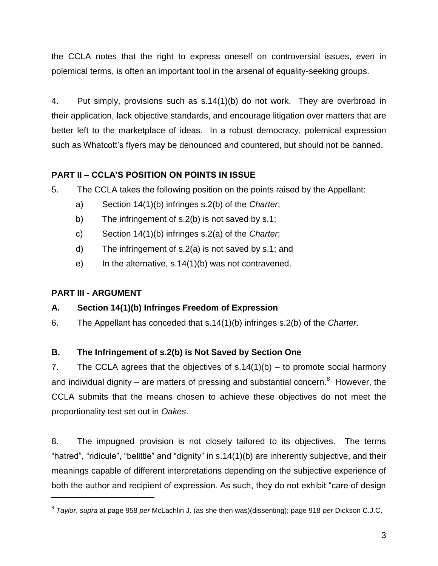the CCLA notes that the right to express oneself on controversial issues, even in polemical terms, is often an important tool in the arsenal of equality-seeking groups.

4. Put simply, provisions such as s.14(1)(b) do not work. They are overbroad in their application, lack objective standards, and encourage litigation over matters that are better left to the marketplace of ideas. In a robust democracy, polemical expression such as Whatcott's flyers may be denounced and countered, but should not be banned.

# **PART II – CCLA'S POSITION ON POINTS IN ISSUE**

- 5. The CCLA takes the following position on the points raised by the Appellant:
	- a) Section 14(1)(b) infringes s.2(b) of the *Charter*;
	- b) The infringement of s.2(b) is not saved by s.1;
	- c) Section 14(1)(b) infringes s.2(a) of the *Charter*;
	- d) The infringement of s.2(a) is not saved by s.1; and
	- e) In the alternative, s.14(1)(b) was not contravened.

## **PART III - ARGUMENT**

 $\overline{a}$ 

## **A. Section 14(1)(b) Infringes Freedom of Expression**

6. The Appellant has conceded that s.14(1)(b) infringes s.2(b) of the *Charter*.

# **B. The Infringement of s.2(b) is Not Saved by Section One**

7. The CCLA agrees that the objectives of  $s.14(1)(b) - to$  promote social harmony and individual dignity – are matters of pressing and substantial concern. $8$  However, the CCLA submits that the means chosen to achieve these objectives do not meet the proportionality test set out in *Oakes*.

8. The impugned provision is not closely tailored to its objectives. The terms "hatred", "ridicule", "belittle" and "dignity" in s.14(1)(b) are inherently subjective, and their meanings capable of different interpretations depending on the subjective experience of both the author and recipient of expression. As such, they do not exhibit "care of design

<sup>8</sup> *Taylor*, *supra* at page 958 *per* McLachlin J. (as she then was)(dissenting); page 918 *per* Dickson C.J.C.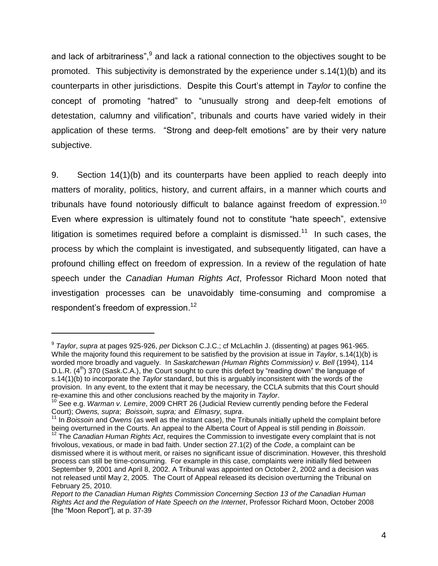and lack of arbitrariness",<sup>9</sup> and lack a rational connection to the objectives sought to be promoted. This subjectivity is demonstrated by the experience under s.14(1)(b) and its counterparts in other jurisdictions. Despite this Court's attempt in *Taylor* to confine the concept of promoting "hatred" to "unusually strong and deep-felt emotions of detestation, calumny and vilification", tribunals and courts have varied widely in their application of these terms. "Strong and deep-felt emotions" are by their very nature subjective.

9. Section 14(1)(b) and its counterparts have been applied to reach deeply into matters of morality, politics, history, and current affairs, in a manner which courts and tribunals have found notoriously difficult to balance against freedom of expression.<sup>10</sup> Even where expression is ultimately found not to constitute "hate speech", extensive litigation is sometimes required before a complaint is dismissed.<sup>11</sup> In such cases, the process by which the complaint is investigated, and subsequently litigated, can have a profound chilling effect on freedom of expression. In a review of the regulation of hate speech under the *Canadian Human Rights Act*, Professor Richard Moon noted that investigation processes can be unavoidably time-consuming and compromise a respondent's freedom of expression.<sup>12</sup>

<sup>9</sup> *Taylor*, *supra* at pages 925-926, *per* Dickson C.J.C.; cf McLachlin J. (dissenting) at pages 961-965. While the majority found this requirement to be satisfied by the provision at issue in *Taylor*, s.14(1)(b) is worded more broadly and vaguely. In *Saskatchewan (Human Rights Commission) v. Bell* (1994), 114 D.L.R. (4<sup>th</sup>) 370 (Sask.C.A.), the Court sought to cure this defect by "reading down" the language of s.14(1)(b) to incorporate the *Taylor* standard, but this is arguably inconsistent with the words of the provision. In any event, to the extent that it may be necessary, the CCLA submits that this Court should re-examine this and other conclusions reached by the majority in *Taylor*.

<sup>10</sup> See e.g. *Warman v. Lemire*, 2009 CHRT 26 (Judicial Review currently pending before the Federal Court); *Owens, supra*; *Boissoin, supra;* and *Elmasry, supra*.

<sup>&</sup>lt;sup>11</sup> In *Boissoin* and *Owens* (as well as the instant case), the Tribunals initially upheld the complaint before being overturned in the Courts. An appeal to the Alberta Court of Appeal is still pending in *Boissoin*.

<sup>12</sup> The *Canadian Human Rights Act*, requires the Commission to investigate every complaint that is not frivolous, vexatious, or made in bad faith. Under section 27.1(2) of the *Code*, a complaint can be dismissed where it is without merit, or raises no significant issue of discrimination. However, this threshold process can still be time-consuming. For example in this case, complaints were initially filed between September 9, 2001 and April 8, 2002. A Tribunal was appointed on October 2, 2002 and a decision was not released until May 2, 2005. The Court of Appeal released its decision overturning the Tribunal on February 25, 2010.

*Report to the Canadian Human Rights Commission Concerning Section 13 of the Canadian Human Rights Act and the Regulation of Hate Speech on the Internet*, Professor Richard Moon, October 2008 [the "Moon Report"], at p. 37-39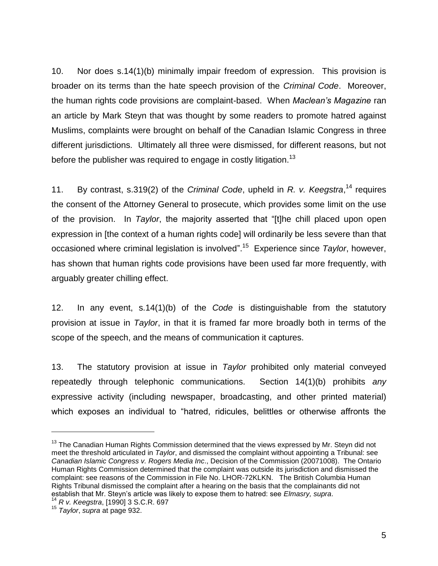10. Nor does s.14(1)(b) minimally impair freedom of expression. This provision is broader on its terms than the hate speech provision of the *Criminal Code*. Moreover, the human rights code provisions are complaint-based. When *Maclean's Magazine* ran an article by Mark Steyn that was thought by some readers to promote hatred against Muslims, complaints were brought on behalf of the Canadian Islamic Congress in three different jurisdictions. Ultimately all three were dismissed, for different reasons, but not before the publisher was required to engage in costly litigation.<sup>13</sup>

11. By contrast, s.319(2) of the *Criminal Code*, upheld in *R. v. Keegstra*, <sup>14</sup> requires the consent of the Attorney General to prosecute, which provides some limit on the use of the provision. In *Taylor*, the majority asserted that "[t]he chill placed upon open expression in [the context of a human rights code] will ordinarily be less severe than that occasioned where criminal legislation is involved". 15 Experience since *Taylor*, however, has shown that human rights code provisions have been used far more frequently, with arguably greater chilling effect.

12. In any event, s.14(1)(b) of the *Code* is distinguishable from the statutory provision at issue in *Taylor*, in that it is framed far more broadly both in terms of the scope of the speech, and the means of communication it captures.

13. The statutory provision at issue in *Taylor* prohibited only material conveyed repeatedly through telephonic communications. Section 14(1)(b) prohibits *any*  expressive activity (including newspaper, broadcasting, and other printed material) which exposes an individual to "hatred, ridicules, belittles or otherwise affronts the

 $13$  The Canadian Human Rights Commission determined that the views expressed by Mr. Steyn did not meet the threshold articulated in *Taylor*, and dismissed the complaint without appointing a Tribunal: see *Canadian Islamic Congress v. Rogers Media Inc*., Decision of the Commission (20071008). The Ontario Human Rights Commission determined that the complaint was outside its jurisdiction and dismissed the complaint: see reasons of the Commission in File No. LHOR-72KLKN. The British Columbia Human Rights Tribunal dismissed the complaint after a hearing on the basis that the complainants did not establish that Mr. Steyn's article was likely to expose them to hatred: see *Elmasry, supra*.

<sup>14</sup> *R v. Keegstra*, [1990] 3 S.C.R. 697

<sup>15</sup> *Taylor*, *supra* at page 932.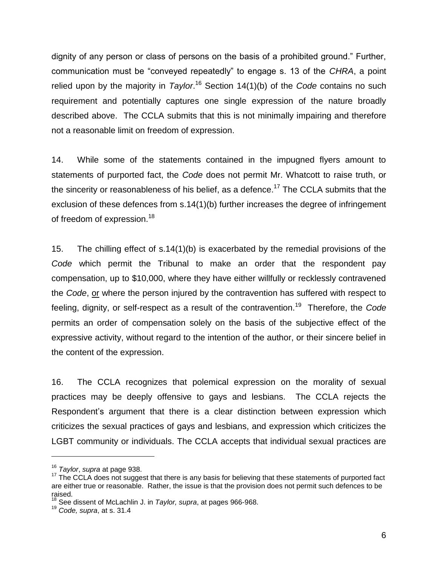dignity of any person or class of persons on the basis of a prohibited ground." Further, communication must be "conveyed repeatedly" to engage s. 13 of the *CHRA*, a point relied upon by the majority in *Taylor*.<sup>16</sup> Section 14(1)(b) of the *Code* contains no such requirement and potentially captures one single expression of the nature broadly described above. The CCLA submits that this is not minimally impairing and therefore not a reasonable limit on freedom of expression.

14. While some of the statements contained in the impugned flyers amount to statements of purported fact, the *Code* does not permit Mr. Whatcott to raise truth, or the sincerity or reasonableness of his belief, as a defence.<sup>17</sup> The CCLA submits that the exclusion of these defences from s.14(1)(b) further increases the degree of infringement of freedom of expression.<sup>18</sup>

15. The chilling effect of s.14(1)(b) is exacerbated by the remedial provisions of the *Code* which permit the Tribunal to make an order that the respondent pay compensation, up to \$10,000, where they have either willfully or recklessly contravened the *Code*, or where the person injured by the contravention has suffered with respect to feeling, dignity, or self-respect as a result of the contravention.<sup>19</sup> Therefore, the *Code* permits an order of compensation solely on the basis of the subjective effect of the expressive activity, without regard to the intention of the author, or their sincere belief in the content of the expression.

16. The CCLA recognizes that polemical expression on the morality of sexual practices may be deeply offensive to gays and lesbians. The CCLA rejects the Respondent's argument that there is a clear distinction between expression which criticizes the sexual practices of gays and lesbians, and expression which criticizes the LGBT community or individuals. The CCLA accepts that individual sexual practices are

<sup>16</sup> *Taylor*, *supra* at page 938.

<sup>&</sup>lt;sup>17</sup> The CCLA does not suggest that there is any basis for believing that these statements of purported fact are either true or reasonable. Rather, the issue is that the provision does not permit such defences to be raised.

<sup>18</sup> See dissent of McLachlin J. in *Taylor, supra*, at pages 966-968.

<sup>19</sup> *Code, supra*, at s. 31.4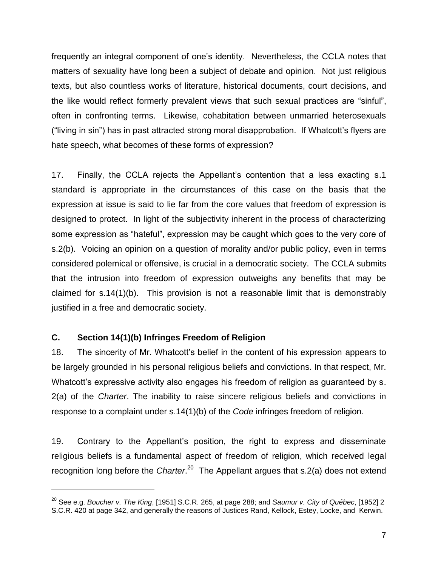frequently an integral component of one's identity. Nevertheless, the CCLA notes that matters of sexuality have long been a subject of debate and opinion. Not just religious texts, but also countless works of literature, historical documents, court decisions, and the like would reflect formerly prevalent views that such sexual practices are "sinful", often in confronting terms. Likewise, cohabitation between unmarried heterosexuals ("living in sin") has in past attracted strong moral disapprobation. If Whatcott's flyers are hate speech, what becomes of these forms of expression?

17. Finally, the CCLA rejects the Appellant's contention that a less exacting s.1 standard is appropriate in the circumstances of this case on the basis that the expression at issue is said to lie far from the core values that freedom of expression is designed to protect. In light of the subjectivity inherent in the process of characterizing some expression as "hateful", expression may be caught which goes to the very core of s.2(b). Voicing an opinion on a question of morality and/or public policy, even in terms considered polemical or offensive, is crucial in a democratic society. The CCLA submits that the intrusion into freedom of expression outweighs any benefits that may be claimed for s.14(1)(b). This provision is not a reasonable limit that is demonstrably justified in a free and democratic society.

### **C. Section 14(1)(b) Infringes Freedom of Religion**

 $\overline{a}$ 

18. The sincerity of Mr. Whatcott's belief in the content of his expression appears to be largely grounded in his personal religious beliefs and convictions. In that respect, Mr. Whatcott's expressive activity also engages his freedom of religion as guaranteed by s. 2(a) of the *Charter*. The inability to raise sincere religious beliefs and convictions in response to a complaint under s.14(1)(b) of the *Code* infringes freedom of religion.

19. Contrary to the Appellant's position, the right to express and disseminate religious beliefs is a fundamental aspect of freedom of religion, which received legal recognition long before the *Charter*.<sup>20</sup> The Appellant argues that s.2(a) does not extend

<sup>20</sup> See e.g. *Boucher v. The King*, [1951] S.C.R. 265, at page 288; and *Saumur v. City of Québec*, [1952] 2 S.C.R. 420 at page 342, and generally the reasons of Justices Rand, Kellock, Estey, Locke, and Kerwin.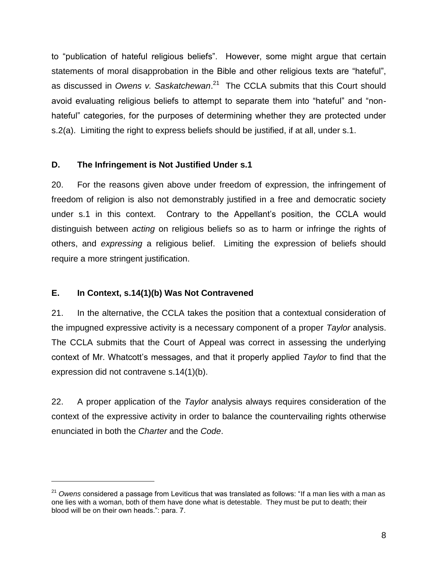to "publication of hateful religious beliefs". However, some might argue that certain statements of moral disapprobation in the Bible and other religious texts are "hateful", as discussed in *Owens v. Saskatchewan*. 21 The CCLA submits that this Court should avoid evaluating religious beliefs to attempt to separate them into "hateful" and "nonhateful" categories, for the purposes of determining whether they are protected under s.2(a). Limiting the right to express beliefs should be justified, if at all, under s.1.

### **D. The Infringement is Not Justified Under s.1**

20. For the reasons given above under freedom of expression, the infringement of freedom of religion is also not demonstrably justified in a free and democratic society under s.1 in this context. Contrary to the Appellant's position, the CCLA would distinguish between *acting* on religious beliefs so as to harm or infringe the rights of others, and *expressing* a religious belief. Limiting the expression of beliefs should require a more stringent justification.

### **E. In Context, s.14(1)(b) Was Not Contravened**

 $\overline{a}$ 

21. In the alternative, the CCLA takes the position that a contextual consideration of the impugned expressive activity is a necessary component of a proper *Taylor* analysis. The CCLA submits that the Court of Appeal was correct in assessing the underlying context of Mr. Whatcott's messages, and that it properly applied *Taylor* to find that the expression did not contravene s.14(1)(b).

22. A proper application of the *Taylor* analysis always requires consideration of the context of the expressive activity in order to balance the countervailing rights otherwise enunciated in both the *Charter* and the *Code*.

<sup>&</sup>lt;sup>21</sup> Owens considered a passage from Leviticus that was translated as follows: "If a man lies with a man as one lies with a woman, both of them have done what is detestable. They must be put to death; their blood will be on their own heads.": para. 7.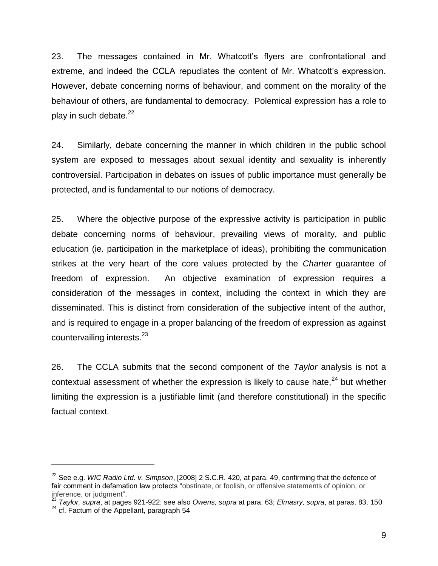23. The messages contained in Mr. Whatcott's flyers are confrontational and extreme, and indeed the CCLA repudiates the content of Mr. Whatcott's expression. However, debate concerning norms of behaviour, and comment on the morality of the behaviour of others, are fundamental to democracy. Polemical expression has a role to play in such debate. $22$ 

24. Similarly, debate concerning the manner in which children in the public school system are exposed to messages about sexual identity and sexuality is inherently controversial. Participation in debates on issues of public importance must generally be protected, and is fundamental to our notions of democracy.

25. Where the objective purpose of the expressive activity is participation in public debate concerning norms of behaviour, prevailing views of morality, and public education (ie. participation in the marketplace of ideas), prohibiting the communication strikes at the very heart of the core values protected by the *Charter* guarantee of freedom of expression. An objective examination of expression requires a consideration of the messages in context, including the context in which they are disseminated. This is distinct from consideration of the subjective intent of the author, and is required to engage in a proper balancing of the freedom of expression as against countervailing interests.<sup>23</sup>

26. The CCLA submits that the second component of the *Taylor* analysis is not a contextual assessment of whether the expression is likely to cause hate,<sup>24</sup> but whether limiting the expression is a justifiable limit (and therefore constitutional) in the specific factual context.

<sup>23</sup> *Taylor, supra*, at pages 921-922; see also *Owens, supra* at para. 63; *Elmasry, supra*, at paras. 83, 150

<sup>22</sup> See e.g. *WIC Radio Ltd. v. Simpson*, [2008] 2 S.C.R. 420, at para. 49, confirming that the defence of fair comment in defamation law protects "obstinate, or foolish, or offensive statements of opinion, or inference, or judgment".

 $24$  cf. Factum of the Appellant, paragraph 54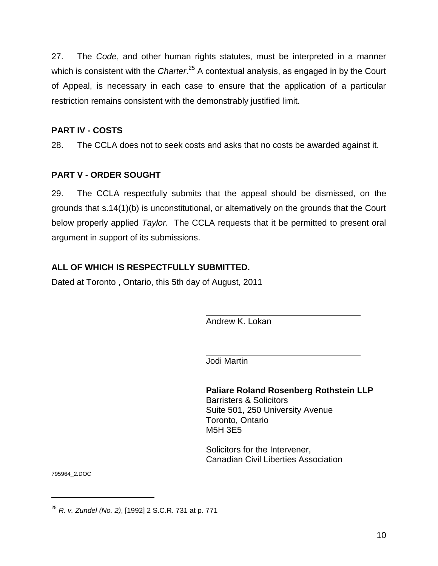27. The *Code*, and other human rights statutes, must be interpreted in a manner which is consistent with the *Charter*.<sup>25</sup> A contextual analysis, as engaged in by the Court of Appeal, is necessary in each case to ensure that the application of a particular restriction remains consistent with the demonstrably justified limit.

## **PART IV - COSTS**

28. The CCLA does not to seek costs and asks that no costs be awarded against it.

## **PART V - ORDER SOUGHT**

29. The CCLA respectfully submits that the appeal should be dismissed, on the grounds that s.14(1)(b) is unconstitutional, or alternatively on the grounds that the Court below properly applied *Taylor*. The CCLA requests that it be permitted to present oral argument in support of its submissions.

## **ALL OF WHICH IS RESPECTFULLY SUBMITTED.**

Dated at Toronto , Ontario, this 5th day of August, 2011

Andrew K. Lokan

Jodi Martin

**Paliare Roland Rosenberg Rothstein LLP** Barristers & Solicitors Suite 501, 250 University Avenue Toronto, Ontario M5H 3E5

Solicitors for the Intervener, Canadian Civil Liberties Association

795964\_2**.**DOC

<sup>25</sup> *R. v. Zundel (No. 2)*, [1992] 2 S.C.R. 731 at p. 771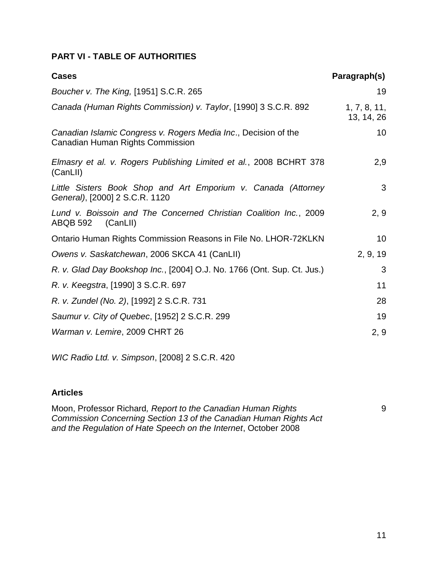## **PART VI - TABLE OF AUTHORITIES**

| <b>Cases</b>                                                                                        | Paragraph(s)               |
|-----------------------------------------------------------------------------------------------------|----------------------------|
| Boucher v. The King, [1951] S.C.R. 265                                                              | 19                         |
| Canada (Human Rights Commission) v. Taylor, [1990] 3 S.C.R. 892                                     | 1, 7, 8, 11,<br>13, 14, 26 |
| Canadian Islamic Congress v. Rogers Media Inc., Decision of the<br>Canadian Human Rights Commission | 10                         |
| Elmasry et al. v. Rogers Publishing Limited et al., 2008 BCHRT 378<br>(CanLII)                      | 2,9                        |
| Little Sisters Book Shop and Art Emporium v. Canada (Attorney<br>General), [2000] 2 S.C.R. 1120     | 3                          |
| Lund v. Boissoin and The Concerned Christian Coalition Inc., 2009<br>(CanLII)<br>ABQB 592           | 2, 9                       |
| Ontario Human Rights Commission Reasons in File No. LHOR-72KLKN                                     | 10                         |
| Owens v. Saskatchewan, 2006 SKCA 41 (CanLII)                                                        | 2, 9, 19                   |
| R. v. Glad Day Bookshop Inc., [2004] O.J. No. 1766 (Ont. Sup. Ct. Jus.)                             | 3                          |
| R. v. Keegstra, [1990] 3 S.C.R. 697                                                                 | 11                         |
| R. v. Zundel (No. 2), [1992] 2 S.C.R. 731                                                           | 28                         |
| Saumur v. City of Quebec, [1952] 2 S.C.R. 299                                                       | 19                         |
| Warman v. Lemire, 2009 CHRT 26                                                                      | 2, 9                       |

*WIC Radio Ltd. v. Simpson*, [2008] 2 S.C.R. 420

### **Articles**

Moon, Professor Richard*, Report to the Canadian Human Rights Commission Concerning Section 13 of the Canadian Human Rights Act and the Regulation of Hate Speech on the Internet*, October 2008

9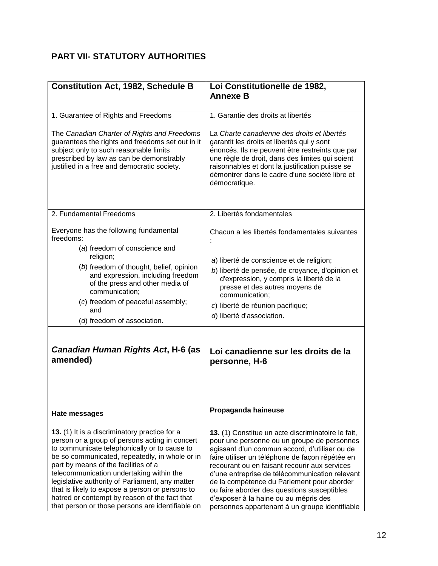# **PART VII- STATUTORY AUTHORITIES**

| <b>Constitution Act, 1982, Schedule B</b>                                                                                                                                                                                                                                                                                                                                                                                                                                                        | Loi Constitutionelle de 1982,<br><b>Annexe B</b>                                                                                                                                                                                                                                                                                                                                                                                                                                                 |
|--------------------------------------------------------------------------------------------------------------------------------------------------------------------------------------------------------------------------------------------------------------------------------------------------------------------------------------------------------------------------------------------------------------------------------------------------------------------------------------------------|--------------------------------------------------------------------------------------------------------------------------------------------------------------------------------------------------------------------------------------------------------------------------------------------------------------------------------------------------------------------------------------------------------------------------------------------------------------------------------------------------|
|                                                                                                                                                                                                                                                                                                                                                                                                                                                                                                  |                                                                                                                                                                                                                                                                                                                                                                                                                                                                                                  |
| 1. Guarantee of Rights and Freedoms                                                                                                                                                                                                                                                                                                                                                                                                                                                              | 1. Garantie des droits at libertés                                                                                                                                                                                                                                                                                                                                                                                                                                                               |
| The Canadian Charter of Rights and Freedoms<br>guarantees the rights and freedoms set out in it<br>subject only to such reasonable limits<br>prescribed by law as can be demonstrably<br>justified in a free and democratic society.                                                                                                                                                                                                                                                             | La Charte canadienne des droits et libertés<br>garantit les droits et libertés qui y sont<br>énoncés. Ils ne peuvent être restreints que par<br>une règle de droit, dans des limites qui soient<br>raisonnables et dont la justification puisse se<br>démontrer dans le cadre d'une société libre et<br>démocratique.                                                                                                                                                                            |
| 2. Fundamental Freedoms                                                                                                                                                                                                                                                                                                                                                                                                                                                                          | 2. Libertés fondamentales                                                                                                                                                                                                                                                                                                                                                                                                                                                                        |
| Everyone has the following fundamental<br>freedoms:                                                                                                                                                                                                                                                                                                                                                                                                                                              | Chacun a les libertés fondamentales suivantes                                                                                                                                                                                                                                                                                                                                                                                                                                                    |
| (a) freedom of conscience and<br>religion;                                                                                                                                                                                                                                                                                                                                                                                                                                                       | a) liberté de conscience et de religion;                                                                                                                                                                                                                                                                                                                                                                                                                                                         |
| (b) freedom of thought, belief, opinion<br>and expression, including freedom<br>of the press and other media of<br>communication;                                                                                                                                                                                                                                                                                                                                                                | b) liberté de pensée, de croyance, d'opinion et<br>d'expression, y compris la liberté de la<br>presse et des autres moyens de<br>communication;                                                                                                                                                                                                                                                                                                                                                  |
| (c) freedom of peaceful assembly;<br>and                                                                                                                                                                                                                                                                                                                                                                                                                                                         | c) liberté de réunion pacifique;                                                                                                                                                                                                                                                                                                                                                                                                                                                                 |
| (d) freedom of association.                                                                                                                                                                                                                                                                                                                                                                                                                                                                      | d) liberté d'association.                                                                                                                                                                                                                                                                                                                                                                                                                                                                        |
| Canadian Human Rights Act, H-6 (as<br>amended)                                                                                                                                                                                                                                                                                                                                                                                                                                                   | Loi canadienne sur les droits de la<br>personne, H-6                                                                                                                                                                                                                                                                                                                                                                                                                                             |
| Hate messages                                                                                                                                                                                                                                                                                                                                                                                                                                                                                    | Propaganda haineuse                                                                                                                                                                                                                                                                                                                                                                                                                                                                              |
| 13. (1) It is a discriminatory practice for a<br>person or a group of persons acting in concert<br>to communicate telephonically or to cause to<br>be so communicated, repeatedly, in whole or in<br>part by means of the facilities of a<br>telecommunication undertaking within the<br>legislative authority of Parliament, any matter<br>that is likely to expose a person or persons to<br>hatred or contempt by reason of the fact that<br>that person or those persons are identifiable on | 13. (1) Constitue un acte discriminatoire le fait,<br>pour une personne ou un groupe de personnes<br>agissant d'un commun accord, d'utiliser ou de<br>faire utiliser un téléphone de façon répétée en<br>recourant ou en faisant recourir aux services<br>d'une entreprise de télécommunication relevant<br>de la compétence du Parlement pour aborder<br>ou faire aborder des questions susceptibles<br>d'exposer à la haine ou au mépris des<br>personnes appartenant à un groupe identifiable |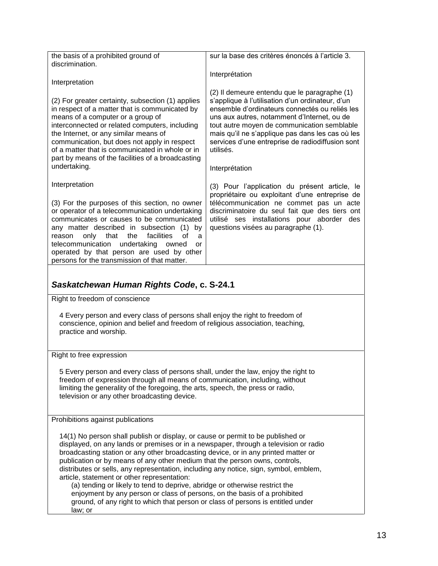| the basis of a prohibited ground of<br>discrimination.                                                                                                                                                                                                                                                                                                                                                                                                                                                                                                                                                                                                                                                                                         | sur la base des critères énoncés à l'article 3.                                                                                                                                                                                                                                                                                                                                         |  |
|------------------------------------------------------------------------------------------------------------------------------------------------------------------------------------------------------------------------------------------------------------------------------------------------------------------------------------------------------------------------------------------------------------------------------------------------------------------------------------------------------------------------------------------------------------------------------------------------------------------------------------------------------------------------------------------------------------------------------------------------|-----------------------------------------------------------------------------------------------------------------------------------------------------------------------------------------------------------------------------------------------------------------------------------------------------------------------------------------------------------------------------------------|--|
| Interpretation                                                                                                                                                                                                                                                                                                                                                                                                                                                                                                                                                                                                                                                                                                                                 | Interprétation                                                                                                                                                                                                                                                                                                                                                                          |  |
| (2) For greater certainty, subsection (1) applies<br>in respect of a matter that is communicated by<br>means of a computer or a group of<br>interconnected or related computers, including<br>the Internet, or any similar means of<br>communication, but does not apply in respect<br>of a matter that is communicated in whole or in<br>part by means of the facilities of a broadcasting<br>undertaking.                                                                                                                                                                                                                                                                                                                                    | (2) Il demeure entendu que le paragraphe (1)<br>s'applique à l'utilisation d'un ordinateur, d'un<br>ensemble d'ordinateurs connectés ou reliés les<br>uns aux autres, notamment d'Internet, ou de<br>tout autre moyen de communication semblable<br>mais qu'il ne s'applique pas dans les cas où les<br>services d'une entreprise de radiodiffusion sont<br>utilisés.<br>Interprétation |  |
| Interpretation                                                                                                                                                                                                                                                                                                                                                                                                                                                                                                                                                                                                                                                                                                                                 | (3) Pour l'application du présent article, le                                                                                                                                                                                                                                                                                                                                           |  |
| (3) For the purposes of this section, no owner<br>or operator of a telecommunication undertaking<br>communicates or causes to be communicated<br>any matter described in subsection (1) by<br>facilities<br>of<br>only<br>that<br>the<br>reason<br>a<br>undertaking<br>telecommunication<br>owned<br>or<br>operated by that person are used by other<br>persons for the transmission of that matter.                                                                                                                                                                                                                                                                                                                                           | propriétaire ou exploitant d'une entreprise de<br>télécommunication ne commet pas un acte<br>discriminatoire du seul fait que des tiers ont<br>utilisé ses installations pour aborder des<br>questions visées au paragraphe (1).                                                                                                                                                        |  |
|                                                                                                                                                                                                                                                                                                                                                                                                                                                                                                                                                                                                                                                                                                                                                |                                                                                                                                                                                                                                                                                                                                                                                         |  |
| Saskatchewan Human Rights Code, c. S-24.1                                                                                                                                                                                                                                                                                                                                                                                                                                                                                                                                                                                                                                                                                                      |                                                                                                                                                                                                                                                                                                                                                                                         |  |
| Right to freedom of conscience                                                                                                                                                                                                                                                                                                                                                                                                                                                                                                                                                                                                                                                                                                                 |                                                                                                                                                                                                                                                                                                                                                                                         |  |
| 4 Every person and every class of persons shall enjoy the right to freedom of<br>conscience, opinion and belief and freedom of religious association, teaching,<br>practice and worship.                                                                                                                                                                                                                                                                                                                                                                                                                                                                                                                                                       |                                                                                                                                                                                                                                                                                                                                                                                         |  |
| Right to free expression                                                                                                                                                                                                                                                                                                                                                                                                                                                                                                                                                                                                                                                                                                                       |                                                                                                                                                                                                                                                                                                                                                                                         |  |
| 5 Every person and every class of persons shall, under the law, enjoy the right to<br>freedom of expression through all means of communication, including, without<br>limiting the generality of the foregoing, the arts, speech, the press or radio,<br>television or any other broadcasting device.                                                                                                                                                                                                                                                                                                                                                                                                                                          |                                                                                                                                                                                                                                                                                                                                                                                         |  |
| Prohibitions against publications                                                                                                                                                                                                                                                                                                                                                                                                                                                                                                                                                                                                                                                                                                              |                                                                                                                                                                                                                                                                                                                                                                                         |  |
| 14(1) No person shall publish or display, or cause or permit to be published or<br>displayed, on any lands or premises or in a newspaper, through a television or radio<br>broadcasting station or any other broadcasting device, or in any printed matter or<br>publication or by means of any other medium that the person owns, controls,<br>distributes or sells, any representation, including any notice, sign, symbol, emblem,<br>article, statement or other representation:<br>(a) tending or likely to tend to deprive, abridge or otherwise restrict the<br>enjoyment by any person or class of persons, on the basis of a prohibited<br>ground, of any right to which that person or class of persons is entitled under<br>law; or |                                                                                                                                                                                                                                                                                                                                                                                         |  |